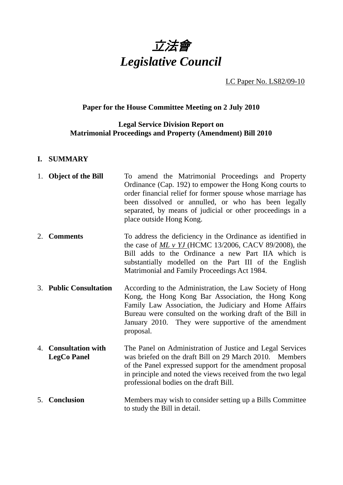

LC Paper No. LS82/09-10

# **Paper for the House Committee Meeting on 2 July 2010**

## **Legal Service Division Report on Matrimonial Proceedings and Property (Amendment) Bill 2010**

#### **I. SUMMARY**

|    | 1. Object of the Bill                          | To amend the Matrimonial Proceedings and Property<br>Ordinance (Cap. 192) to empower the Hong Kong courts to<br>order financial relief for former spouse whose marriage has<br>been dissolved or annulled, or who has been legally<br>separated, by means of judicial or other proceedings in a<br>place outside Hong Kong. |
|----|------------------------------------------------|-----------------------------------------------------------------------------------------------------------------------------------------------------------------------------------------------------------------------------------------------------------------------------------------------------------------------------|
|    | 2. Comments                                    | To address the deficiency in the Ordinance as identified in<br>the case of $ML v YJ$ (HCMC 13/2006, CACV 89/2008), the<br>Bill adds to the Ordinance a new Part IIA which is<br>substantially modelled on the Part III of the English<br>Matrimonial and Family Proceedings Act 1984.                                       |
|    | 3. Public Consultation                         | According to the Administration, the Law Society of Hong<br>Kong, the Hong Kong Bar Association, the Hong Kong<br>Family Law Association, the Judiciary and Home Affairs<br>Bureau were consulted on the working draft of the Bill in<br>January 2010. They were supportive of the amendment<br>proposal.                   |
| 4. | <b>Consultation with</b><br><b>LegCo Panel</b> | The Panel on Administration of Justice and Legal Services<br>was briefed on the draft Bill on 29 March 2010. Members<br>of the Panel expressed support for the amendment proposal<br>in principle and noted the views received from the two legal<br>professional bodies on the draft Bill.                                 |
| 5. | <b>Conclusion</b>                              | Members may wish to consider setting up a Bills Committee<br>to study the Bill in detail.                                                                                                                                                                                                                                   |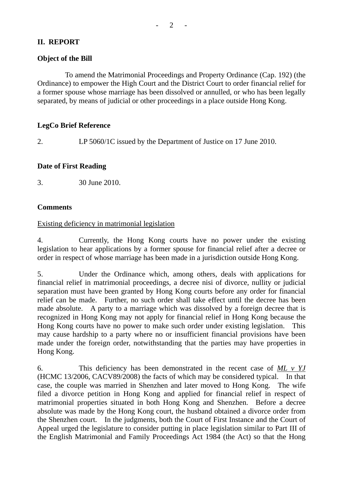# **II. REPORT**

## **Object of the Bill**

 To amend the Matrimonial Proceedings and Property Ordinance (Cap. 192) (the Ordinance) to empower the High Court and the District Court to order financial relief for a former spouse whose marriage has been dissolved or annulled, or who has been legally separated, by means of judicial or other proceedings in a place outside Hong Kong.

### **LegCo Brief Reference**

2. LP 5060/1C issued by the Department of Justice on 17 June 2010.

#### **Date of First Reading**

3. 30 June 2010.

### **Comments**

#### Existing deficiency in matrimonial legislation

4. Currently, the Hong Kong courts have no power under the existing legislation to hear applications by a former spouse for financial relief after a decree or order in respect of whose marriage has been made in a jurisdiction outside Hong Kong.

5. Under the Ordinance which, among others, deals with applications for financial relief in matrimonial proceedings, a decree nisi of divorce, nullity or judicial separation must have been granted by Hong Kong courts before any order for financial relief can be made. Further, no such order shall take effect until the decree has been made absolute. A party to a marriage which was dissolved by a foreign decree that is recognized in Hong Kong may not apply for financial relief in Hong Kong because the Hong Kong courts have no power to make such order under existing legislation. This may cause hardship to a party where no or insufficient financial provisions have been made under the foreign order, notwithstanding that the parties may have properties in Hong Kong.

6. This deficiency has been demonstrated in the recent case of *ML v YJ*  (HCMC 13/2006, CACV89/2008) the facts of which may be considered typical. In that case, the couple was married in Shenzhen and later moved to Hong Kong. The wife filed a divorce petition in Hong Kong and applied for financial relief in respect of matrimonial properties situated in both Hong Kong and Shenzhen. Before a decree absolute was made by the Hong Kong court, the husband obtained a divorce order from the Shenzhen court. In the judgments, both the Court of First Instance and the Court of Appeal urged the legislature to consider putting in place legislation similar to Part III of the English Matrimonial and Family Proceedings Act 1984 (the Act) so that the Hong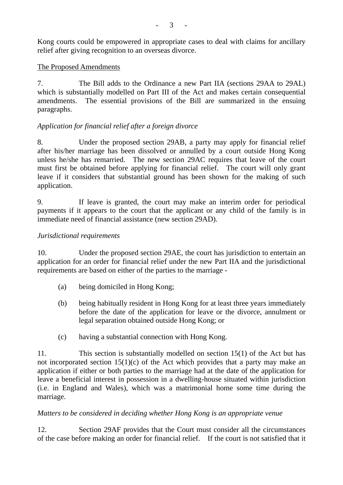Kong courts could be empowered in appropriate cases to deal with claims for ancillary relief after giving recognition to an overseas divorce.

#### The Proposed Amendments

7. The Bill adds to the Ordinance a new Part IIA (sections 29AA to 29AL) which is substantially modelled on Part III of the Act and makes certain consequential amendments. The essential provisions of the Bill are summarized in the ensuing paragraphs.

#### *Application for financial relief after a foreign divorce*

8. Under the proposed section 29AB, a party may apply for financial relief after his/her marriage has been dissolved or annulled by a court outside Hong Kong unless he/she has remarried. The new section 29AC requires that leave of the court must first be obtained before applying for financial relief. The court will only grant leave if it considers that substantial ground has been shown for the making of such application.

9. If leave is granted, the court may make an interim order for periodical payments if it appears to the court that the applicant or any child of the family is in immediate need of financial assistance (new section 29AD).

#### *Jurisdictional requirements*

10. Under the proposed section 29AE, the court has jurisdiction to entertain an application for an order for financial relief under the new Part IIA and the jurisdictional requirements are based on either of the parties to the marriage -

- (a) being domiciled in Hong Kong;
- (b) being habitually resident in Hong Kong for at least three years immediately before the date of the application for leave or the divorce, annulment or legal separation obtained outside Hong Kong; or
- (c) having a substantial connection with Hong Kong.

11. This section is substantially modelled on section 15(1) of the Act but has not incorporated section  $15(1)(c)$  of the Act which provides that a party may make an application if either or both parties to the marriage had at the date of the application for leave a beneficial interest in possession in a dwelling-house situated within jurisdiction (i.e. in England and Wales), which was a matrimonial home some time during the marriage.

#### *Matters to be considered in deciding whether Hong Kong is an appropriate venue*

12. Section 29AF provides that the Court must consider all the circumstances of the case before making an order for financial relief. If the court is not satisfied that it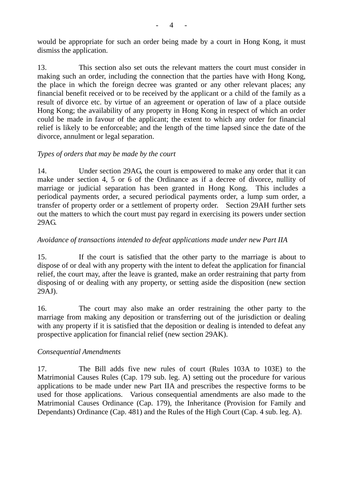would be appropriate for such an order being made by a court in Hong Kong, it must dismiss the application.

13. This section also set outs the relevant matters the court must consider in making such an order, including the connection that the parties have with Hong Kong, the place in which the foreign decree was granted or any other relevant places; any financial benefit received or to be received by the applicant or a child of the family as a result of divorce etc. by virtue of an agreement or operation of law of a place outside Hong Kong; the availability of any property in Hong Kong in respect of which an order could be made in favour of the applicant; the extent to which any order for financial relief is likely to be enforceable; and the length of the time lapsed since the date of the divorce, annulment or legal separation.

### *Types of orders that may be made by the court*

14. Under section 29AG, the court is empowered to make any order that it can make under section 4, 5 or 6 of the Ordinance as if a decree of divorce, nullity of marriage or judicial separation has been granted in Hong Kong. This includes a periodical payments order, a secured periodical payments order, a lump sum order, a transfer of property order or a settlement of property order. Section 29AH further sets out the matters to which the court must pay regard in exercising its powers under section 29AG.

### *Avoidance of transactions intended to defeat applications made under new Part IIA*

15. If the court is satisfied that the other party to the marriage is about to dispose of or deal with any property with the intent to defeat the application for financial relief, the court may, after the leave is granted, make an order restraining that party from disposing of or dealing with any property, or setting aside the disposition (new section 29AJ).

16. The court may also make an order restraining the other party to the marriage from making any deposition or transferring out of the jurisdiction or dealing with any property if it is satisfied that the deposition or dealing is intended to defeat any prospective application for financial relief (new section 29AK).

# *Consequential Amendments*

17. The Bill adds five new rules of court (Rules 103A to 103E) to the Matrimonial Causes Rules (Cap. 179 sub. leg. A) setting out the procedure for various applications to be made under new Part IIA and prescribes the respective forms to be used for those applications. Various consequential amendments are also made to the Matrimonial Causes Ordinance (Cap. 179), the Inheritance (Provision for Family and Dependants) Ordinance (Cap. 481) and the Rules of the High Court (Cap. 4 sub. leg. A).